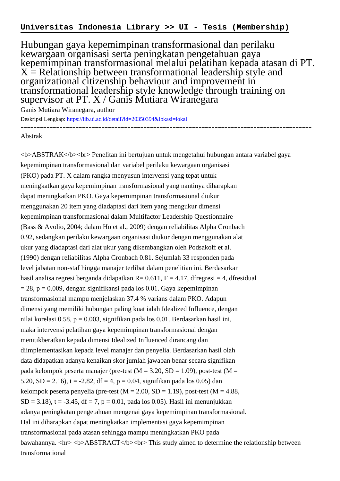Hubungan gaya kepemimpinan transformasional dan perilaku kewargaan organisasi serta peningkatan pengetahuan gaya kepemimpinan transformasional melalui pelatihan kepada atasan di PT.  $X =$  Relationship between transformational leadership style and organizational citizenship behaviour and improvement in transformational leadership style knowledge through training on supervisor at PT. X / Ganis Mutiara Wiranegara

Ganis Mutiara Wiranegara, author

Deskripsi Lengkap:<https://lib.ui.ac.id/detail?id=20350394&lokasi=lokal> ------------------------------------------------------------------------------------------

## Abstrak

<b>ABSTRAK</b><br> Penelitan ini bertujuan untuk mengetahui hubungan antara variabel gaya kepemimpinan transformasional dan variabel perilaku kewargaan organisasi (PKO) pada PT. X dalam rangka menyusun intervensi yang tepat untuk meningkatkan gaya kepemimpinan transformasional yang nantinya diharapkan dapat meningkatkan PKO. Gaya kepemimpinan transformasional diukur menggunakan 20 item yang diadaptasi dari item yang mengukur dimensi kepemimpinan transformasional dalam Multifactor Leadership Questionnaire (Bass & Avolio, 2004; dalam Ho et al., 2009) dengan reliabilitas Alpha Cronbach 0.92, sedangkan perilaku kewargaan organisasi diukur dengan menggunakan alat ukur yang diadaptasi dari alat ukur yang dikembangkan oleh Podsakoff et al. (1990) dengan reliabilitas Alpha Cronbach 0.81. Sejumlah 33 responden pada level jabatan non-staf hingga manajer terlibat dalam penelitian ini. Berdasarkan hasil analisa regresi berganda didapatkan  $R = 0.611$ ,  $F = 4.17$ , dfregresi = 4, dfresidual  $= 28$ , p  $= 0.009$ , dengan signifikansi pada los 0.01. Gaya kepemimpinan transformasional mampu menjelaskan 37.4 % varians dalam PKO. Adapun dimensi yang memiliki hubungan paling kuat ialah Idealized Influence, dengan nilai korelasi 0.58, p = 0.003, signifikan pada los 0.01. Berdasarkan hasil ini, maka intervensi pelatihan gaya kepemimpinan transformasional dengan menitikberatkan kepada dimensi Idealized Influenced dirancang dan diimplementasikan kepada level manajer dan penyelia. Berdasarkan hasil olah data didapatkan adanya kenaikan skor jumlah jawaban benar secara signifikan pada kelompok peserta manajer (pre-test  $(M = 3.20, SD = 1.09)$ , post-test  $(M = 1.09)$ 5.20, SD = 2.16), t = -2.82, df = 4, p = 0.04, signifikan pada los 0.05) dan kelompok peserta penyelia (pre-test  $(M = 2.00, SD = 1.19)$ , post-test  $(M = 4.88$ ,  $SD = 3.18$ ), t = -3.45, df = 7, p = 0.01, pada los 0.05). Hasil ini menunjukkan adanya peningkatan pengetahuan mengenai gaya kepemimpinan transformasional. Hal ini diharapkan dapat meningkatkan implementasi gaya kepemimpinan transformasional pada atasan sehingga mampu meningkatkan PKO pada bawahannya. <hr> <b>ABSTRACT</b><br> This study aimed to determine the relationship between transformational